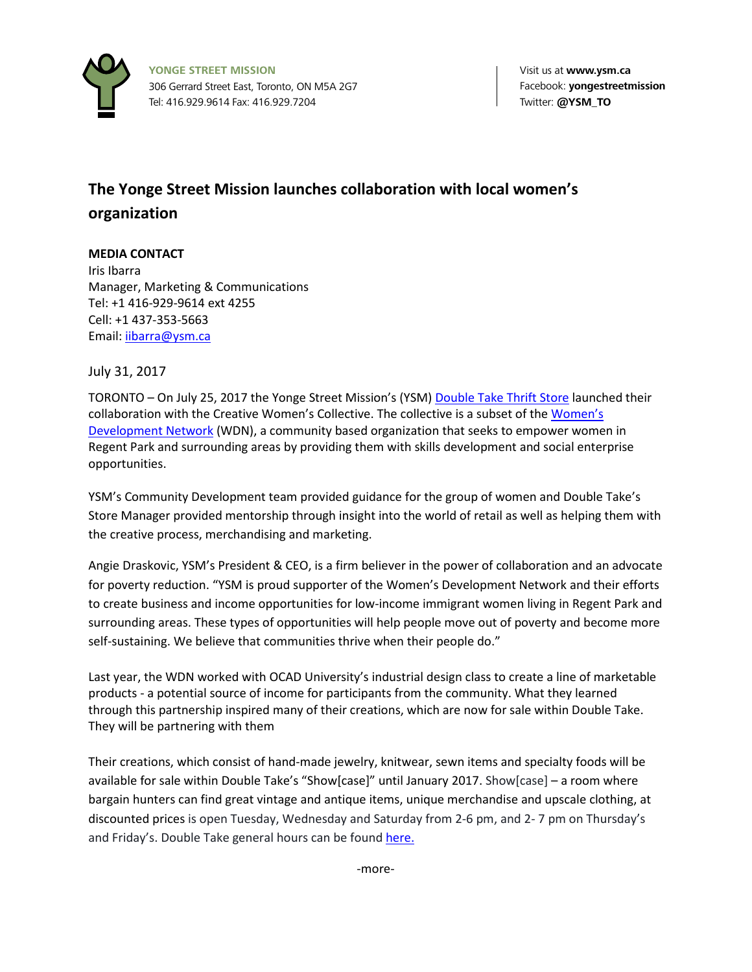

## **The Yonge Street Mission launches collaboration with local women's organization**

## **MEDIA CONTACT**

Iris Ibarra Manager, Marketing & Communications Tel: +1 416-929-9614 ext 4255 Cell: +1 437-353-5663 Email: ijbarra@ysm.ca

July 31, 2017

TORONTO - On July 25, 2017 the Yonge Street Mission's (YSM) [Double Take Thrift Store](https://www.ysm.ca/learn/programs/double-take/) launched their collaboration with the Creative Women's Collective. The collective is a subset of the [Women's](https://www.facebook.com/wdnregpark/)  [Development Network](https://www.facebook.com/wdnregpark/) (WDN), a community based organization that seeks to empower women in Regent Park and surrounding areas by providing them with skills development and social enterprise opportunities.

YSM's Community Development team provided guidance for the group of women and Double Take's Store Manager provided mentorship through insight into the world of retail as well as helping them with the creative process, merchandising and marketing.

Angie Draskovic, YSM's President & CEO, is a firm believer in the power of collaboration and an advocate for poverty reduction. "YSM is proud supporter of the Women's Development Network and their efforts to create business and income opportunities for low-income immigrant women living in Regent Park and surrounding areas. These types of opportunities will help people move out of poverty and become more self-sustaining. We believe that communities thrive when their people do."

Last year, the WDN worked with OCAD University's industrial design class to create a line of marketable products - a potential source of income for participants from the community. What they learned through this partnership inspired many of their creations, which are now for sale within Double Take. They will be partnering with them

Their creations, which consist of hand-made jewelry, knitwear, sewn items and specialty foods will be available for sale within Double Take's "Show[case]" until January 2017. Show[case] – a room where bargain hunters can find great vintage and antique items, unique merchandise and upscale clothing, at discounted prices is open Tuesday, Wednesday and Saturday from 2-6 pm, and 2- 7 pm on Thursday's and Friday's. Double Take general hours can be found [here.](https://www.ysm.ca/learn/programs/double-take/)